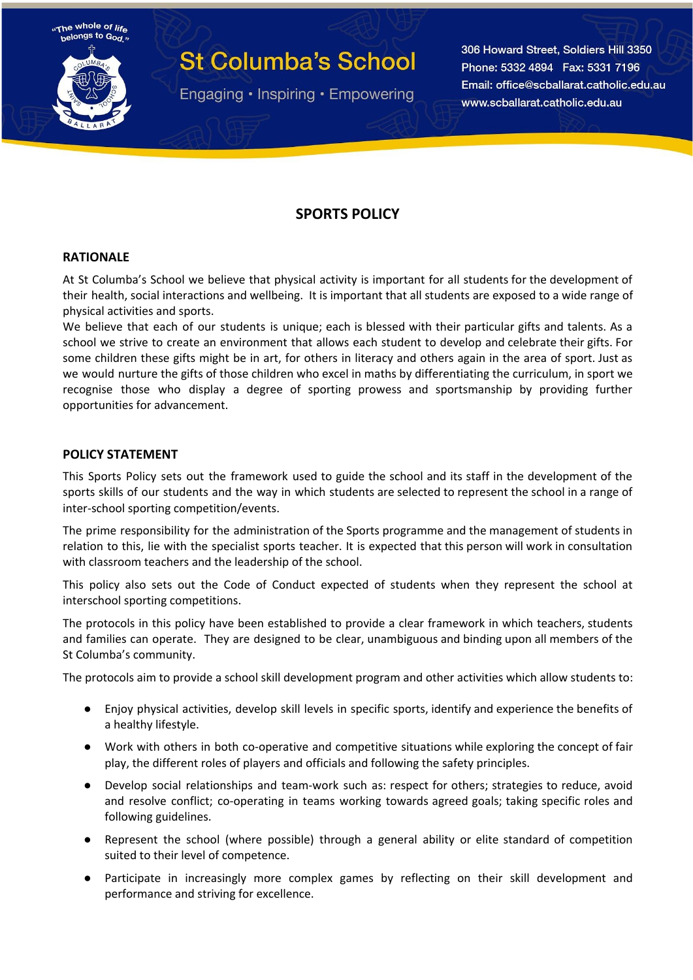

Engaging • Inspiring • Empowering

306 Howard Street, Soldiers Hill 3350 Phone: 5332 4894 Fax: 5331 7196 Email: office@scballarat.catholic.edu.au www.scballarat.catholic.edu.au

### **SPORTS POLICY**

#### **RATIONALE**

At St Columba's School we believe that physical activity is important for all students for the development of their health, social interactions and wellbeing. It is important that all students are exposed to a wide range of physical activities and sports.

We believe that each of our students is unique; each is blessed with their particular gifts and talents. As a school we strive to create an environment that allows each student to develop and celebrate their gifts. For some children these gifts might be in art, for others in literacy and others again in the area of sport. Just as we would nurture the gifts of those children who excel in maths by differentiating the curriculum, in sport we recognise those who display a degree of sporting prowess and sportsmanship by providing further opportunities for advancement.

#### **POLICY STATEMENT**

This Sports Policy sets out the framework used to guide the school and its staff in the development of the sports skills of our students and the way in which students are selected to represent the school in a range of inter-school sporting competition/events.

The prime responsibility for the administration of the Sports programme and the management of students in relation to this, lie with the specialist sports teacher. It is expected that this person will work in consultation with classroom teachers and the leadership of the school.

This policy also sets out the Code of Conduct expected of students when they represent the school at interschool sporting competitions.

The protocols in this policy have been established to provide a clear framework in which teachers, students and families can operate. They are designed to be clear, unambiguous and binding upon all members of the St Columba's community.

The protocols aim to provide a school skill development program and other activities which allow students to:

- Enjoy physical activities, develop skill levels in specific sports, identify and experience the benefits of a healthy lifestyle.
- Work with others in both co-operative and competitive situations while exploring the concept of fair play, the different roles of players and officials and following the safety principles.
- Develop social relationships and team-work such as: respect for others; strategies to reduce, avoid and resolve conflict; co-operating in teams working towards agreed goals; taking specific roles and following guidelines.
- Represent the school (where possible) through a general ability or elite standard of competition suited to their level of competence.
- Participate in increasingly more complex games by reflecting on their skill development and performance and striving for excellence.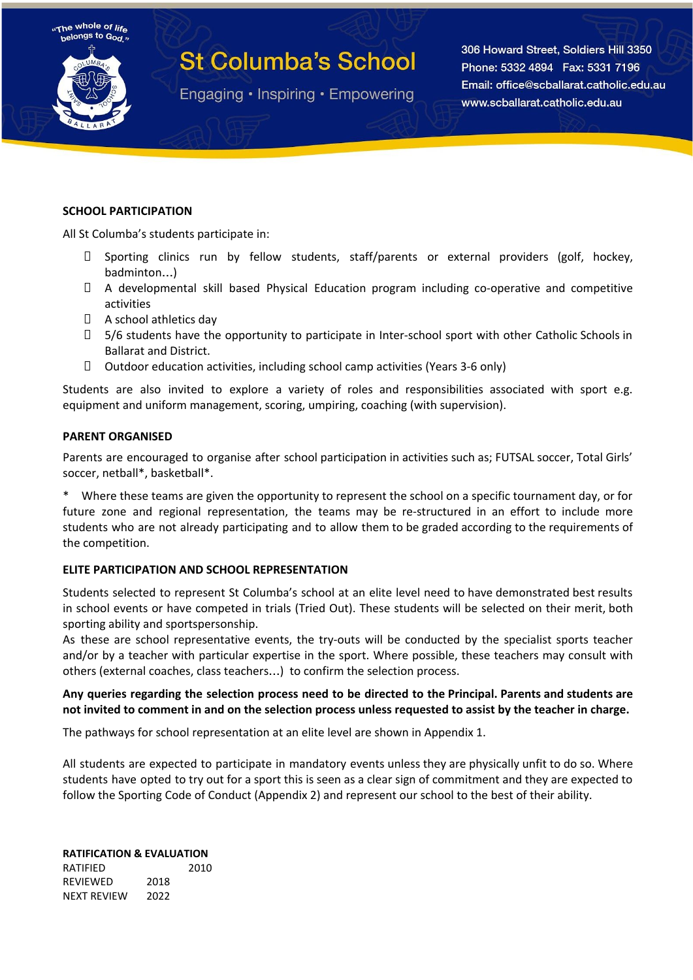



Engaging • Inspiring • Empowering

306 Howard Street, Soldiers Hill 3350 Phone: 5332 4894 Fax: 5331 7196 Email: office@scballarat.catholic.edu.au www.scballarat.catholic.edu.au

#### **SCHOOL PARTICIPATION**

All St Columba's students participate in:

- $\Box$  Sporting clinics run by fellow students, staff/parents or external providers (golf, hockey, badminton…)
- A developmental skill based Physical Education program including co-operative and competitive activities
- A school athletics day
- □ 5/6 students have the opportunity to participate in Inter-school sport with other Catholic Schools in Ballarat and District.
- $\Box$  Outdoor education activities, including school camp activities (Years 3-6 only)

Students are also invited to explore a variety of roles and responsibilities associated with sport e.g. equipment and uniform management, scoring, umpiring, coaching (with supervision).

#### **PARENT ORGANISED**

Parents are encouraged to organise after school participation in activities such as; FUTSAL soccer, Total Girls' soccer, netball\*, basketball\*.

Where these teams are given the opportunity to represent the school on a specific tournament day, or for future zone and regional representation, the teams may be re-structured in an effort to include more students who are not already participating and to allow them to be graded according to the requirements of the competition.

#### **ELITE PARTICIPATION AND SCHOOL REPRESENTATION**

Students selected to represent St Columba's school at an elite level need to have demonstrated best results in school events or have competed in trials (Tried Out). These students will be selected on their merit, both sporting ability and sportspersonship.

As these are school representative events, the try-outs will be conducted by the specialist sports teacher and/or by a teacher with particular expertise in the sport. Where possible, these teachers may consult with others (external coaches, class teachers…) to confirm the selection process.

#### Any queries regarding the selection process need to be directed to the Principal. Parents and students are not invited to comment in and on the selection process unless requested to assist by the teacher in charge.

The pathways for school representation at an elite level are shown in Appendix 1.

All students are expected to participate in mandatory events unless they are physically unfit to do so. Where students have opted to try out for a sport this is seen as a clear sign of commitment and they are expected to follow the Sporting Code of Conduct (Appendix 2) and represent our school to the best of their ability.

#### **RATIFICATION & EVALUATION**

RATIFIED 2010 REVIEWED 2018 NEXT REVIEW 2022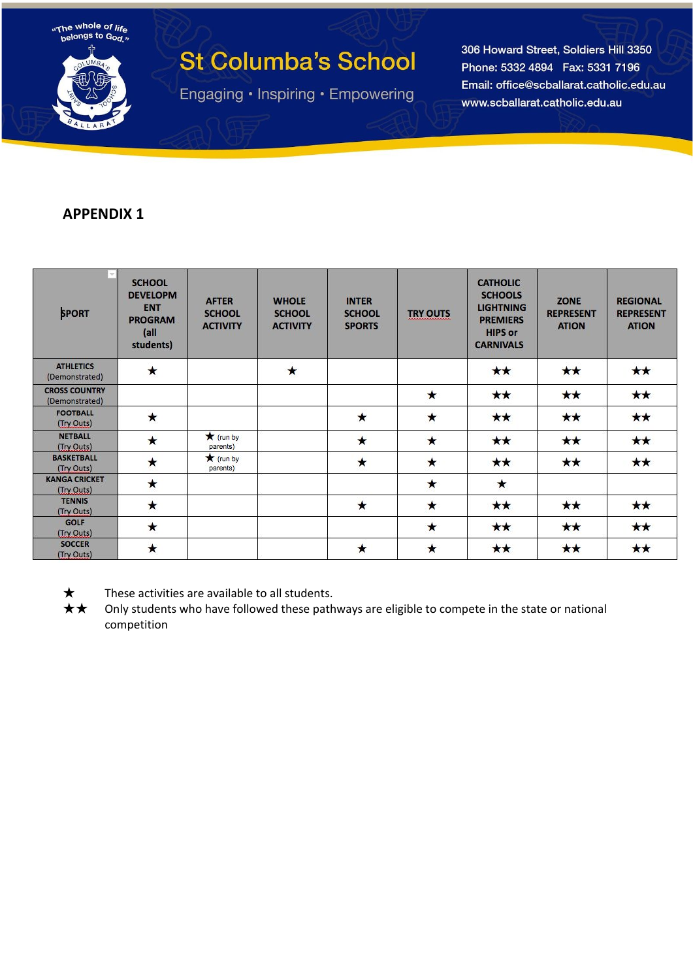

Engaging · Inspiring · Empowering

306 Howard Street, Soldiers Hill 3350 Phone: 5332 4894 Fax: 5331 7196 Email: office@scballarat.catholic.edu.au www.scballarat.catholic.edu.au

## **APPENDIX 1**

| <b>SPORT</b>                           | <b>SCHOOL</b><br><b>DEVELOPM</b><br><b>ENT</b><br><b>PROGRAM</b><br>(a  )<br>students) | <b>AFTER</b><br><b>SCHOOL</b><br><b>ACTIVITY</b> | <b>WHOLE</b><br><b>SCHOOL</b><br><b>ACTIVITY</b> | <b>INTER</b><br><b>SCHOOL</b><br><b>SPORTS</b> | <b>TRY OUTS</b> | <b>CATHOLIC</b><br><b>SCHOOLS</b><br><b>LIGHTNING</b><br><b>PREMIERS</b><br><b>HIPS or</b><br><b>CARNIVALS</b> | ZONE<br><b>REPRESENT</b><br><b>ATION</b> | <b>REGIONAL</b><br><b>REPRESENT</b><br><b>ATION</b> |
|----------------------------------------|----------------------------------------------------------------------------------------|--------------------------------------------------|--------------------------------------------------|------------------------------------------------|-----------------|----------------------------------------------------------------------------------------------------------------|------------------------------------------|-----------------------------------------------------|
| <b>ATHLETICS</b><br>(Demonstrated)     | $\star$                                                                                |                                                  | $\star$                                          |                                                |                 | $\star\star$                                                                                                   | **                                       | $\star\star$                                        |
| <b>CROSS COUNTRY</b><br>(Demonstrated) |                                                                                        |                                                  |                                                  |                                                | $\star$         | $\star\star$                                                                                                   | **                                       | $\star\star$                                        |
| <b>FOOTBALL</b><br>(Try Outs)          | ★                                                                                      |                                                  |                                                  | $\star$                                        | $\star$         | **                                                                                                             | $\star\star$                             | $\star\star$                                        |
| <b>NETBALL</b><br>(Try Outs)           | $\star$                                                                                | $\star$ (run by<br>parents)                      |                                                  | $\star$                                        | $\star$         | $\star\star$                                                                                                   | **                                       | $\star\star$                                        |
| <b>BASKETBALL</b><br>(Try Outs)        | $\star$                                                                                | $\bigstar$ (run by<br>parents)                   |                                                  | $\star$                                        | $\star$         | $\star\star$                                                                                                   | $\star\star$                             | $\star\star$                                        |
| <b>KANGA CRICKET</b><br>(Try Outs)     | $\star$                                                                                |                                                  |                                                  |                                                | $\star$         | $\star$                                                                                                        |                                          |                                                     |
| <b>TENNIS</b><br>(Try Outs)            | $\star$                                                                                |                                                  |                                                  | $\star$                                        | $\star$         | $\star\star$                                                                                                   | **                                       | $\star\star$                                        |
| <b>GOLF</b><br>(Try Outs)              | $\star$                                                                                |                                                  |                                                  |                                                | $\star$         | $\star\star$                                                                                                   | $\star\star$                             | $\star\star$                                        |
| <b>SOCCER</b><br>(Try Outs)            | $\star$                                                                                |                                                  |                                                  | $\star$                                        | $\star$         | $\star\star$                                                                                                   | $\star\star$                             | $\star\star$                                        |



 $\star$  These activities are available to all students.

★★ Only students who have followed these pathways are eligible to compete in the state or national competition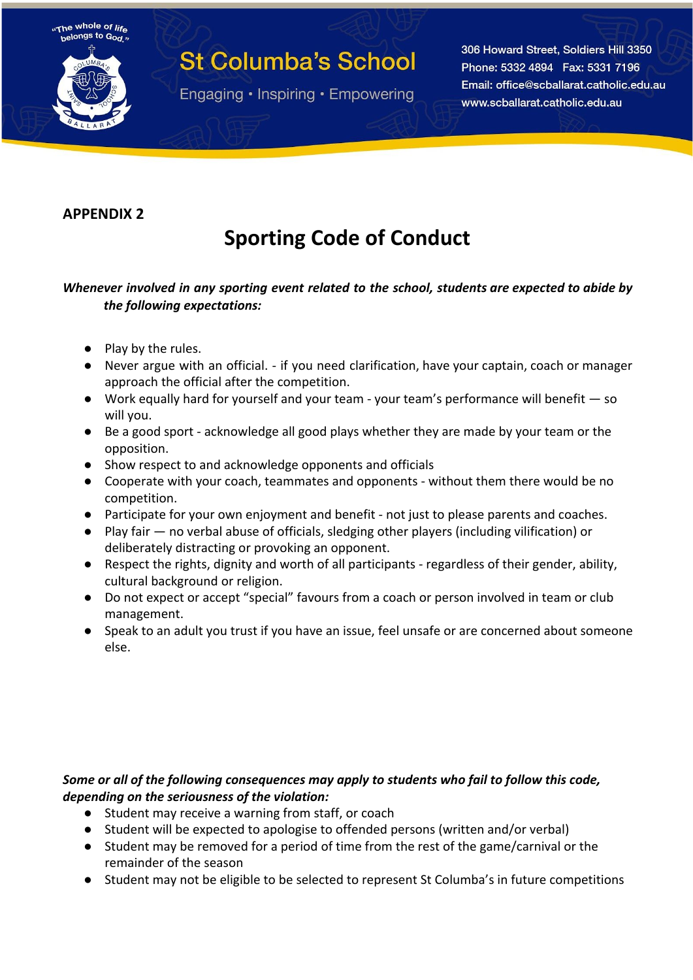

Engaging • Inspiring • Empowering

306 Howard Street, Soldiers Hill 3350 Phone: 5332 4894 Fax: 5331 7196 Email: office@scballarat.catholic.edu.au www.scballarat.catholic.edu.au

## **APPENDIX 2**

The whole of life helongs to God

## **Sporting Code of Conduct**

### *Whenever involved in any sporting event related to the school, students are expected to abide by the following expectations:*

- Play by the rules.
- Never argue with an official. if you need clarification, have your captain, coach or manager approach the official after the competition.
- Work equally hard for yourself and your team your team's performance will benefit so will you.
- Be a good sport acknowledge all good plays whether they are made by your team or the opposition.
- Show respect to and acknowledge opponents and officials
- Cooperate with your coach, teammates and opponents without them there would be no competition.
- Participate for your own enjoyment and benefit not just to please parents and coaches.
- Play fair no verbal abuse of officials, sledging other players (including vilification) or deliberately distracting or provoking an opponent.
- Respect the rights, dignity and worth of all participants regardless of their gender, ability, cultural background or religion.
- Do not expect or accept "special" favours from a coach or person involved in team or club management.
- Speak to an adult you trust if you have an issue, feel unsafe or are concerned about someone else.

### *Some or all of the following consequences may apply to students who fail to follow this code, depending on the seriousness of the violation:*

- Student may receive a warning from staff, or coach
- Student will be expected to apologise to offended persons (written and/or verbal)
- Student may be removed for a period of time from the rest of the game/carnival or the remainder of the season
- Student may not be eligible to be selected to represent St Columba's in future competitions